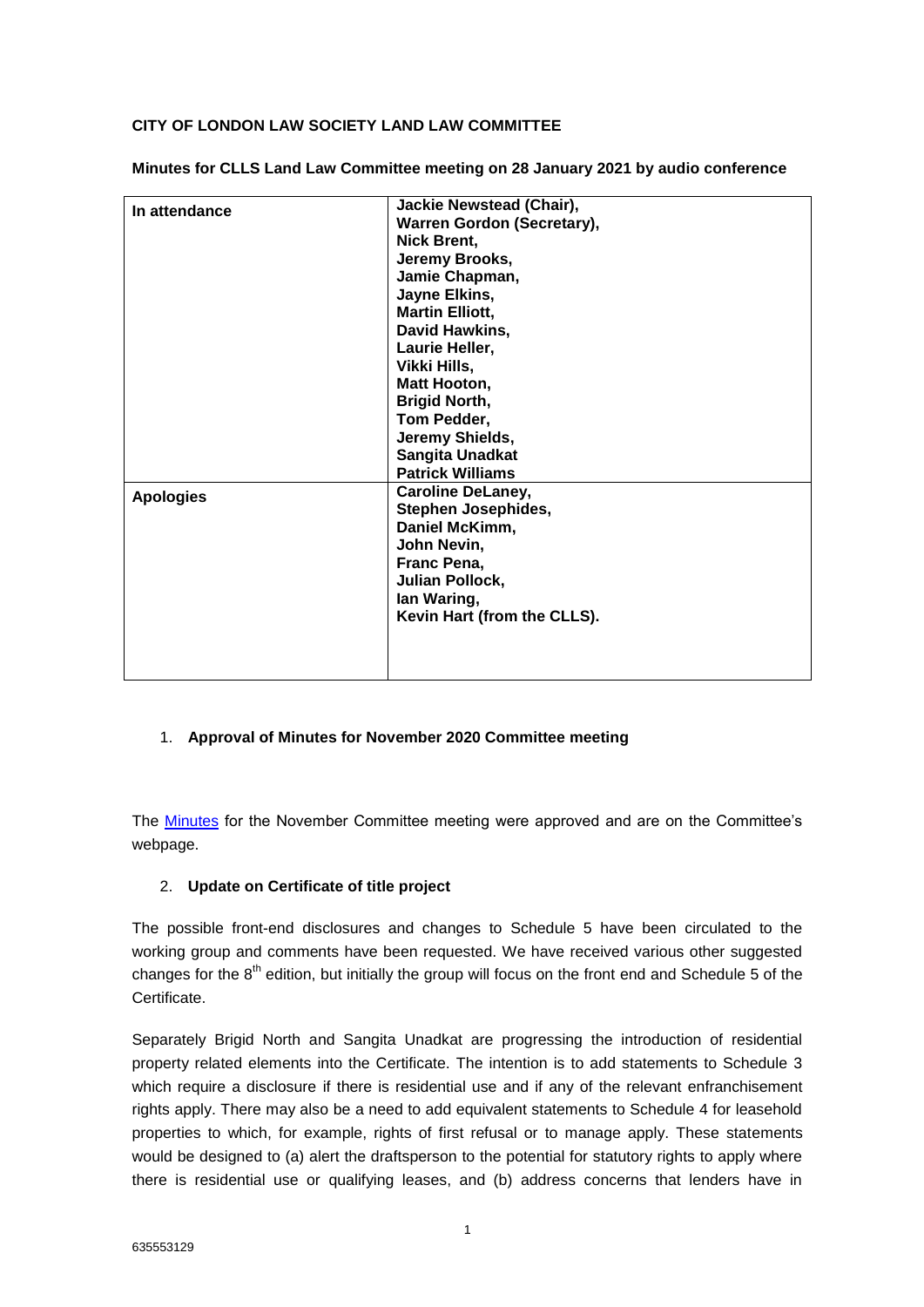## **CITY OF LONDON LAW SOCIETY LAND LAW COMMITTEE**

| In attendance    | <b>Jackie Newstead (Chair),</b> |
|------------------|---------------------------------|
|                  | Warren Gordon (Secretary),      |
|                  | Nick Brent,                     |
|                  | Jeremy Brooks,                  |
|                  | Jamie Chapman,                  |
|                  | Jayne Elkins,                   |
|                  | <b>Martin Elliott,</b>          |
|                  | David Hawkins,                  |
|                  | Laurie Heller,                  |
|                  | Vikki Hills,                    |
|                  | Matt Hooton,                    |
|                  | <b>Brigid North,</b>            |
|                  | Tom Pedder,                     |
|                  | Jeremy Shields,                 |
|                  | Sangita Unadkat                 |
|                  | <b>Patrick Williams</b>         |
| <b>Apologies</b> | <b>Caroline DeLaney,</b>        |
|                  | Stephen Josephides,             |
|                  | Daniel McKimm,                  |
|                  | John Nevin,                     |
|                  | Franc Pena,                     |
|                  | Julian Pollock,                 |
|                  | lan Waring,                     |
|                  | Kevin Hart (from the CLLS).     |
|                  |                                 |
|                  |                                 |
|                  |                                 |
|                  |                                 |

**Minutes for CLLS Land Law Committee meeting on 28 January 2021 by audio conference**

## 1. **Approval of Minutes for November 2020 Committee meeting**

The [Minutes](https://eur02.safelinks.protection.outlook.com/?url=https%3A%2F%2Fwww.citysolicitors.org.uk%2Fstorage%2F2020%2F12%2FLand-Law-Minutes-November-2020.pdf&data=04%7C01%7CWarren.Gordon%40cms-cmno.com%7Ceea75412b3044d4724b508d8c825c828%7C8ddab29711af4f76b704c18a1d2b702f%7C0%7C0%7C637479411913652739%7CUnknown%7CTWFpbGZsb3d8eyJWIjoiMC4wLjAwMDAiLCJQIjoiV2luMzIiLCJBTiI6Ik1haWwiLCJXVCI6Mn0%3D%7C1000&sdata=7TslK7iG3T91BGxA%2BwN0SdRlA1bt4iLV0dtQqGqMejc%3D&reserved=0) for the November Committee meeting were approved and are on the Committee's webpage.

## 2. **Update on Certificate of title project**

The possible front-end disclosures and changes to Schedule 5 have been circulated to the working group and comments have been requested. We have received various other suggested changes for the  $8<sup>th</sup>$  edition, but initially the group will focus on the front end and Schedule 5 of the **Certificate** 

Separately Brigid North and Sangita Unadkat are progressing the introduction of residential property related elements into the Certificate. The intention is to add statements to Schedule 3 which require a disclosure if there is residential use and if any of the relevant enfranchisement rights apply. There may also be a need to add equivalent statements to Schedule 4 for leasehold properties to which, for example, rights of first refusal or to manage apply. These statements would be designed to (a) alert the draftsperson to the potential for statutory rights to apply where there is residential use or qualifying leases, and (b) address concerns that lenders have in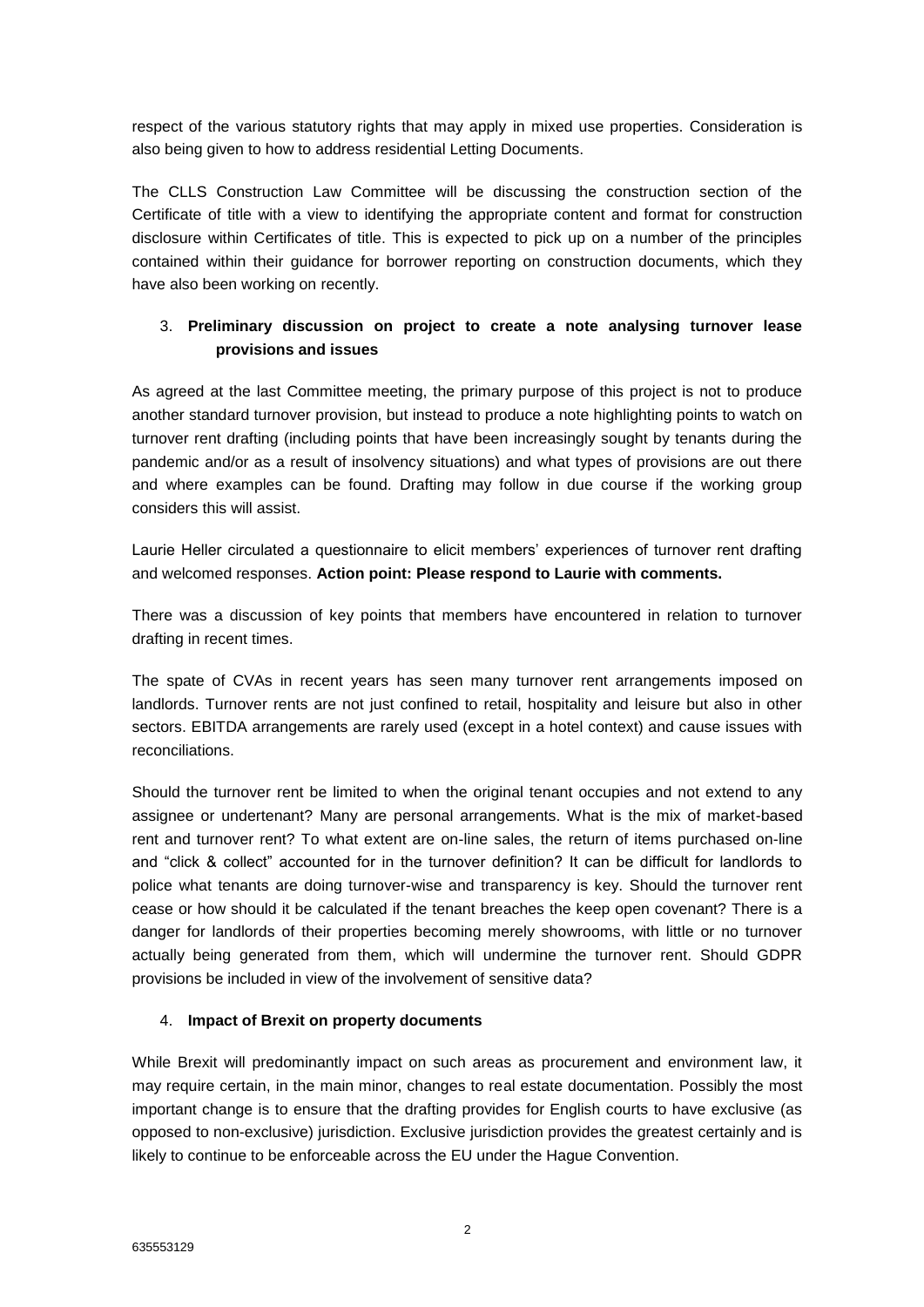respect of the various statutory rights that may apply in mixed use properties. Consideration is also being given to how to address residential Letting Documents.

The CLLS Construction Law Committee will be discussing the construction section of the Certificate of title with a view to identifying the appropriate content and format for construction disclosure within Certificates of title. This is expected to pick up on a number of the principles contained within their guidance for borrower reporting on construction documents, which they have also been working on recently.

# 3. **Preliminary discussion on project to create a note analysing turnover lease provisions and issues**

As agreed at the last Committee meeting, the primary purpose of this project is not to produce another standard turnover provision, but instead to produce a note highlighting points to watch on turnover rent drafting (including points that have been increasingly sought by tenants during the pandemic and/or as a result of insolvency situations) and what types of provisions are out there and where examples can be found. Drafting may follow in due course if the working group considers this will assist.

Laurie Heller circulated a questionnaire to elicit members' experiences of turnover rent drafting and welcomed responses. **Action point: Please respond to Laurie with comments.**

There was a discussion of key points that members have encountered in relation to turnover drafting in recent times.

The spate of CVAs in recent years has seen many turnover rent arrangements imposed on landlords. Turnover rents are not just confined to retail, hospitality and leisure but also in other sectors. EBITDA arrangements are rarely used (except in a hotel context) and cause issues with reconciliations.

Should the turnover rent be limited to when the original tenant occupies and not extend to any assignee or undertenant? Many are personal arrangements. What is the mix of market-based rent and turnover rent? To what extent are on-line sales, the return of items purchased on-line and "click & collect" accounted for in the turnover definition? It can be difficult for landlords to police what tenants are doing turnover-wise and transparency is key. Should the turnover rent cease or how should it be calculated if the tenant breaches the keep open covenant? There is a danger for landlords of their properties becoming merely showrooms, with little or no turnover actually being generated from them, which will undermine the turnover rent. Should GDPR provisions be included in view of the involvement of sensitive data?

## 4. **Impact of Brexit on property documents**

While Brexit will predominantly impact on such areas as procurement and environment law, it may require certain, in the main minor, changes to real estate documentation. Possibly the most important change is to ensure that the drafting provides for English courts to have exclusive (as opposed to non-exclusive) jurisdiction. Exclusive jurisdiction provides the greatest certainly and is likely to continue to be enforceable across the EU under the Hague Convention.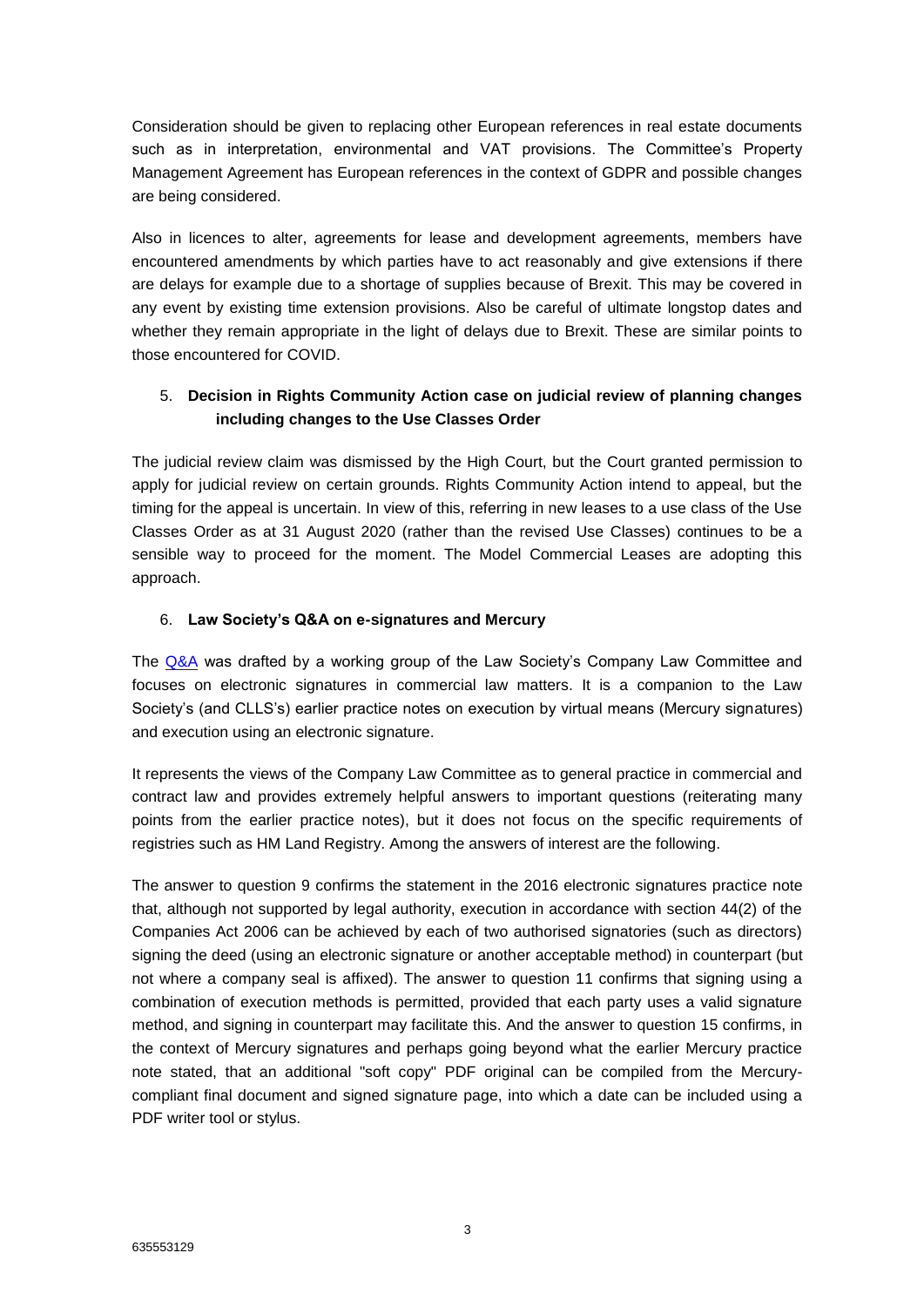Consideration should be given to replacing other European references in real estate documents such as in interpretation, environmental and VAT provisions. The Committee's Property Management Agreement has European references in the context of GDPR and possible changes are being considered.

Also in licences to alter, agreements for lease and development agreements, members have encountered amendments by which parties have to act reasonably and give extensions if there are delays for example due to a shortage of supplies because of Brexit. This may be covered in any event by existing time extension provisions. Also be careful of ultimate longstop dates and whether they remain appropriate in the light of delays due to Brexit. These are similar points to those encountered for COVID.

## 5. **Decision in Rights Community Action case on judicial review of planning changes including changes to the Use Classes Order**

The judicial review claim was dismissed by the High Court, but the Court granted permission to apply for judicial review on certain grounds. Rights Community Action intend to appeal, but the timing for the appeal is uncertain. In view of this, referring in new leases to a use class of the Use Classes Order as at 31 August 2020 (rather than the revised Use Classes) continues to be a sensible way to proceed for the moment. The Model Commercial Leases are adopting this approach.

#### 6. **Law Society's Q&A on e-signatures and Mercury**

The [Q&A](https://eur02.safelinks.protection.outlook.com/?url=https%3A%2F%2Fwww.lawsociety.org.uk%2Ftopics%2Fbusiness-management%2Fqa-on-how-to-use-electronic-signatures-and-complete-virtual-executions&data=04%7C01%7CWarren.Gordon%40cms-cmno.com%7Ceea75412b3044d4724b508d8c825c828%7C8ddab29711af4f76b704c18a1d2b702f%7C0%7C0%7C637479411913652739%7CUnknown%7CTWFpbGZsb3d8eyJWIjoiMC4wLjAwMDAiLCJQIjoiV2luMzIiLCJBTiI6Ik1haWwiLCJXVCI6Mn0%3D%7C1000&sdata=pfqN4bq5acHnHrS3FuLxmSjRS5jikEyJBQi2RNAk4vA%3D&reserved=0) was drafted by a working group of the Law Society's Company Law Committee and focuses on electronic signatures in commercial law matters. It is a companion to the Law Society's (and CLLS's) earlier practice notes on execution by virtual means (Mercury signatures) and execution using an electronic signature.

It represents the views of the Company Law Committee as to general practice in commercial and contract law and provides extremely helpful answers to important questions (reiterating many points from the earlier practice notes), but it does not focus on the specific requirements of registries such as HM Land Registry. Among the answers of interest are the following.

The answer to question 9 confirms the statement in the 2016 electronic signatures practice note that, although not supported by legal authority, execution in accordance with section 44(2) of the Companies Act 2006 can be achieved by each of two authorised signatories (such as directors) signing the deed (using an electronic signature or another acceptable method) in counterpart (but not where a company seal is affixed). The answer to question 11 confirms that signing using a combination of execution methods is permitted, provided that each party uses a valid signature method, and signing in counterpart may facilitate this. And the answer to question 15 confirms, in the context of Mercury signatures and perhaps going beyond what the earlier Mercury practice note stated, that an additional "soft copy" PDF original can be compiled from the Mercurycompliant final document and signed signature page, into which a date can be included using a PDF writer tool or stylus.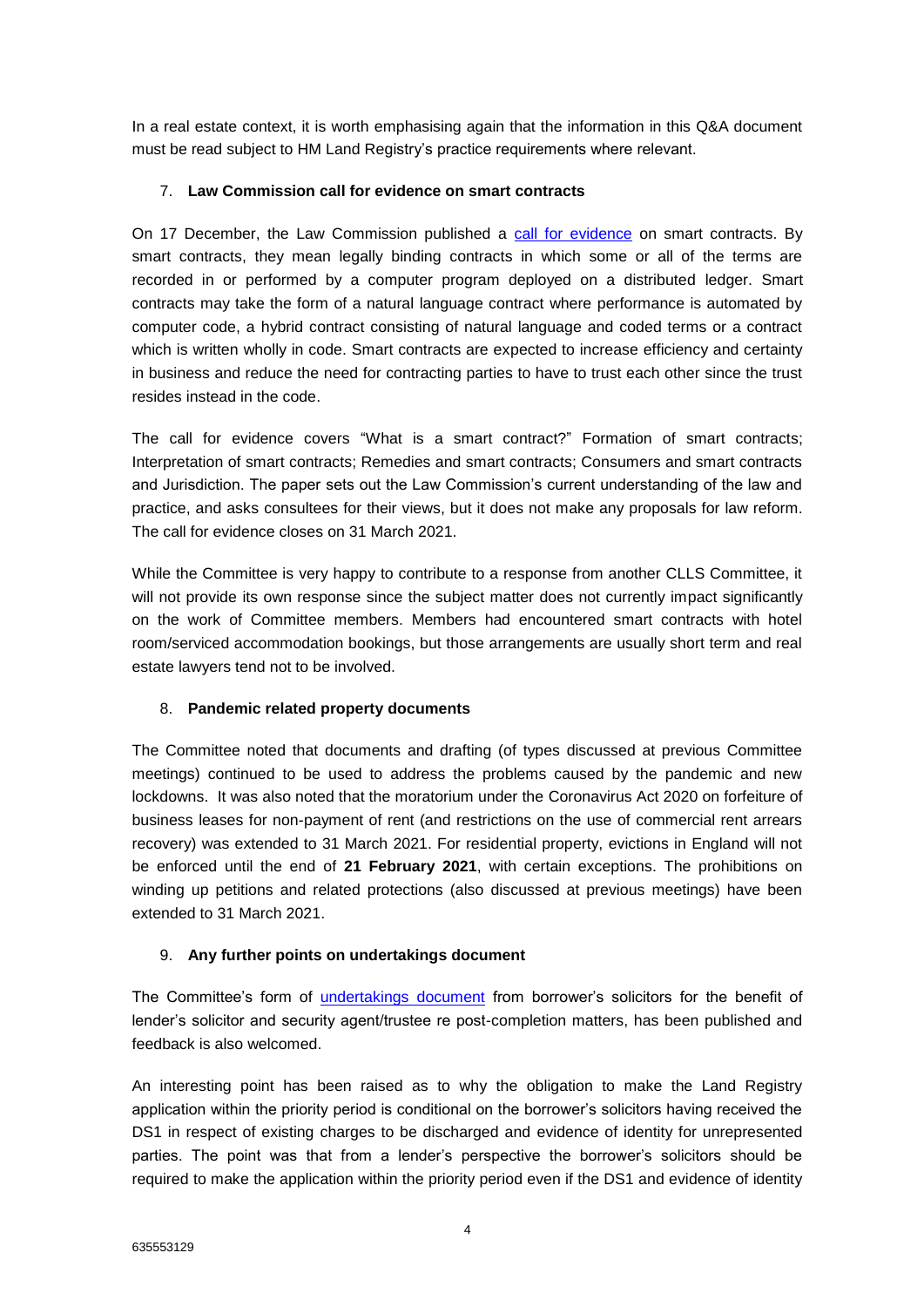In a real estate context, it is worth emphasising again that the information in this Q&A document must be read subject to HM Land Registry's practice requirements where relevant.

#### 7. **Law Commission call for evidence on smart contracts**

On 17 December, the Law Commission published a [call for evidence](https://eur02.safelinks.protection.outlook.com/?url=https:%2F%2Fwww.lawcom.gov.uk%2Flaw-commission-seeks-views-on-smart-contracts%2F%23:~:text%3DThe%2520responses%2520to%2520these%2520questions%2Cscoping%2520study%2520in%2520late%25202021.&data=04%7C01%7CWarren.Gordon%40cms-cmno.com%7Ceea75412b3044d4724b508d8c825c828%7C8ddab29711af4f76b704c18a1d2b702f%7C0%7C0%7C637479411913662695%7CUnknown%7CTWFpbGZsb3d8eyJWIjoiMC4wLjAwMDAiLCJQIjoiV2luMzIiLCJBTiI6Ik1haWwiLCJXVCI6Mn0%3D%7C1000&sdata=V6FogyJ65M9Wj%2B5QNvYnDnymliXIHdKzOzuxiXHWoN4%3D&reserved=0) on smart contracts. By smart contracts, they mean legally binding contracts in which some or all of the terms are recorded in or performed by a computer program deployed on a distributed ledger. Smart contracts may take the form of a natural language contract where performance is automated by computer code, a hybrid contract consisting of natural language and coded terms or a contract which is written wholly in code. Smart contracts are expected to increase efficiency and certainty in business and reduce the need for contracting parties to have to trust each other since the trust resides instead in the code.

The call for evidence covers "What is a smart contract?" Formation of smart contracts; Interpretation of smart contracts; Remedies and smart contracts; Consumers and smart contracts and Jurisdiction. The paper sets out the Law Commission's current understanding of the law and practice, and asks consultees for their views, but it does not make any proposals for law reform. The call for evidence closes on 31 March 2021.

While the Committee is very happy to contribute to a response from another CLLS Committee, it will not provide its own response since the subject matter does not currently impact significantly on the work of Committee members. Members had encountered smart contracts with hotel room/serviced accommodation bookings, but those arrangements are usually short term and real estate lawyers tend not to be involved.

## 8. **Pandemic related property documents**

The Committee noted that documents and drafting (of types discussed at previous Committee meetings) continued to be used to address the problems caused by the pandemic and new lockdowns. It was also noted that the moratorium under the Coronavirus Act 2020 on forfeiture of business leases for non-payment of rent (and restrictions on the use of commercial rent arrears recovery) was extended to 31 March 2021. For residential property, evictions in England will not be enforced until the end of **21 February 2021**, with certain exceptions. The prohibitions on winding up petitions and related protections (also discussed at previous meetings) have been extended to 31 March 2021.

#### 9. **Any further points on undertakings document**

The Committee's form of [undertakings document](https://eur02.safelinks.protection.outlook.com/?url=http%3A%2F%2Fwww.citysolicitors.org.uk%2Fclls%2Fclls-precedent-documents%2Fborrowers-solicitors-undertakings-for-benefit-of-lenders-solicitor-and-security-agent-trustee-re-post-completion-matters%2F&data=04%7C01%7CWarren.Gordon%40cms-cmno.com%7Ceea75412b3044d4724b508d8c825c828%7C8ddab29711af4f76b704c18a1d2b702f%7C0%7C0%7C637479411913662695%7CUnknown%7CTWFpbGZsb3d8eyJWIjoiMC4wLjAwMDAiLCJQIjoiV2luMzIiLCJBTiI6Ik1haWwiLCJXVCI6Mn0%3D%7C1000&sdata=oGeQA7CeyYGk8%2Bp%2F3oMCcpQyZJ%2F5tEFbxa8dleE4bgo%3D&reserved=0) from borrower's solicitors for the benefit of lender's solicitor and security agent/trustee re post-completion matters, has been published and feedback is also welcomed.

An interesting point has been raised as to why the obligation to make the Land Registry application within the priority period is conditional on the borrower's solicitors having received the DS1 in respect of existing charges to be discharged and evidence of identity for unrepresented parties. The point was that from a lender's perspective the borrower's solicitors should be required to make the application within the priority period even if the DS1 and evidence of identity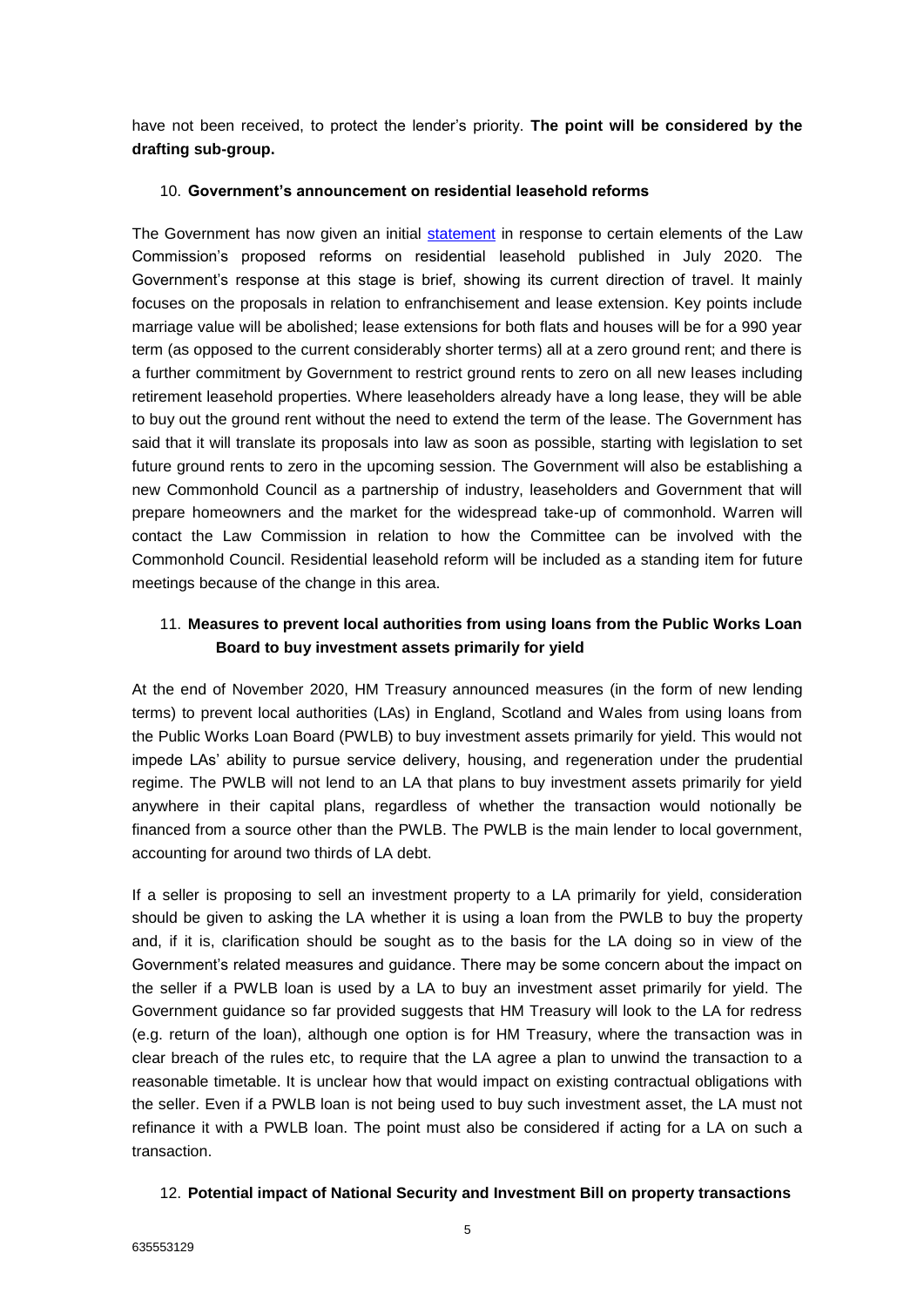have not been received, to protect the lender's priority. **The point will be considered by the drafting sub-group.** 

#### 10. **Government's announcement on residential leasehold reforms**

The Government has now given an initial [statement](https://eur02.safelinks.protection.outlook.com/?url=https%3A%2F%2Fquestions-statements.parliament.uk%2Fwritten-statements%2Fdetail%2F2021-01-11%2FHLWS690&data=04%7C01%7CWarren.Gordon%40cms-cmno.com%7Ceea75412b3044d4724b508d8c825c828%7C8ddab29711af4f76b704c18a1d2b702f%7C0%7C0%7C637479411913672651%7CUnknown%7CTWFpbGZsb3d8eyJWIjoiMC4wLjAwMDAiLCJQIjoiV2luMzIiLCJBTiI6Ik1haWwiLCJXVCI6Mn0%3D%7C1000&sdata=VexN4rkVEDxevLPJxGVsgj7D3gF3xjZkG17PLbNXVKk%3D&reserved=0) in response to certain elements of the Law Commission's proposed reforms on residential leasehold published in July 2020. The Government's response at this stage is brief, showing its current direction of travel. It mainly focuses on the proposals in relation to enfranchisement and lease extension. Key points include marriage value will be abolished; lease extensions for both flats and houses will be for a 990 year term (as opposed to the current considerably shorter terms) all at a zero ground rent; and there is a further commitment by Government to restrict ground rents to zero on all new leases including retirement leasehold properties. Where leaseholders already have a long lease, they will be able to buy out the ground rent without the need to extend the term of the lease. The Government has said that it will translate its proposals into law as soon as possible, starting with legislation to set future ground rents to zero in the upcoming session. The Government will also be establishing a new Commonhold Council as a partnership of industry, leaseholders and Government that will prepare homeowners and the market for the widespread take-up of commonhold. Warren will contact the Law Commission in relation to how the Committee can be involved with the Commonhold Council. Residential leasehold reform will be included as a standing item for future meetings because of the change in this area.

# 11. **Measures to prevent local authorities from using loans from the Public Works Loan Board to buy investment assets primarily for yield**

At the end of November 2020, HM Treasury announced measures (in the form of new lending terms) to prevent local authorities (LAs) in England, Scotland and Wales from using loans from the Public Works Loan Board (PWLB) to buy investment assets primarily for yield. This would not impede LAs' ability to pursue service delivery, housing, and regeneration under the prudential regime. The PWLB will not lend to an LA that plans to buy investment assets primarily for yield anywhere in their capital plans, regardless of whether the transaction would notionally be financed from a source other than the PWLB. The PWLB is the main lender to local government, accounting for around two thirds of LA debt.

If a seller is proposing to sell an investment property to a LA primarily for yield, consideration should be given to asking the LA whether it is using a loan from the PWLB to buy the property and, if it is, clarification should be sought as to the basis for the LA doing so in view of the Government's related measures and guidance. There may be some concern about the impact on the seller if a PWLB loan is used by a LA to buy an investment asset primarily for yield. The Government guidance so far provided suggests that HM Treasury will look to the LA for redress (e.g. return of the loan), although one option is for HM Treasury, where the transaction was in clear breach of the rules etc, to require that the LA agree a plan to unwind the transaction to a reasonable timetable. It is unclear how that would impact on existing contractual obligations with the seller. Even if a PWLB loan is not being used to buy such investment asset, the LA must not refinance it with a PWLB loan. The point must also be considered if acting for a LA on such a transaction.

## 12. **Potential impact of National Security and Investment Bill on property transactions**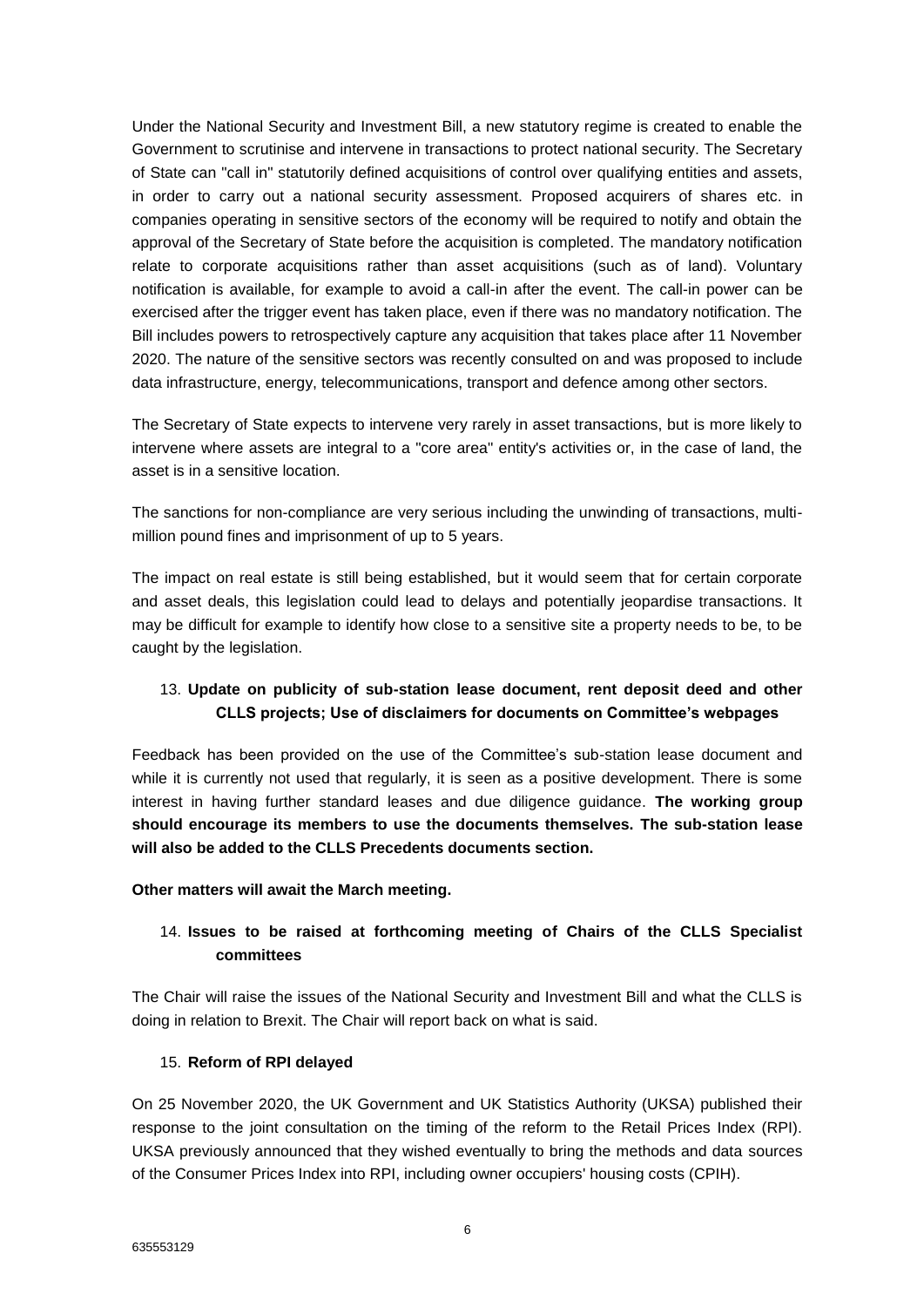Under the National Security and Investment Bill, a new statutory regime is created to enable the Government to scrutinise and intervene in transactions to protect national security. The Secretary of State can "call in" statutorily defined acquisitions of control over qualifying entities and assets, in order to carry out a national security assessment. Proposed acquirers of shares etc. in companies operating in sensitive sectors of the economy will be required to notify and obtain the approval of the Secretary of State before the acquisition is completed. The mandatory notification relate to corporate acquisitions rather than asset acquisitions (such as of land). Voluntary notification is available, for example to avoid a call-in after the event. The call-in power can be exercised after the trigger event has taken place, even if there was no mandatory notification. The Bill includes powers to retrospectively capture any acquisition that takes place after 11 November 2020. The nature of the sensitive sectors was recently consulted on and was proposed to include data infrastructure, energy, telecommunications, transport and defence among other sectors.

The Secretary of State expects to intervene very rarely in asset transactions, but is more likely to intervene where assets are integral to a "core area" entity's activities or, in the case of land, the asset is in a sensitive location.

The sanctions for non-compliance are very serious including the unwinding of transactions, multimillion pound fines and imprisonment of up to 5 years.

The impact on real estate is still being established, but it would seem that for certain corporate and asset deals, this legislation could lead to delays and potentially jeopardise transactions. It may be difficult for example to identify how close to a sensitive site a property needs to be, to be caught by the legislation.

## 13. **Update on publicity of sub-station lease document, rent deposit deed and other CLLS projects; Use of disclaimers for documents on Committee's webpages**

Feedback has been provided on the use of the Committee's sub-station lease document and while it is currently not used that regularly, it is seen as a positive development. There is some interest in having further standard leases and due diligence guidance. **The working group should encourage its members to use the documents themselves. The sub-station lease will also be added to the CLLS Precedents documents section.** 

#### **Other matters will await the March meeting.**

# 14. **Issues to be raised at forthcoming meeting of Chairs of the CLLS Specialist committees**

The Chair will raise the issues of the National Security and Investment Bill and what the CLLS is doing in relation to Brexit. The Chair will report back on what is said.

#### 15. **Reform of RPI delayed**

On 25 November 2020, the UK Government and UK Statistics Authority (UKSA) published their response to the joint consultation on the timing of the reform to the Retail Prices Index (RPI). UKSA previously announced that they wished eventually to bring the methods and data sources of the Consumer Prices Index into RPI, including owner occupiers' housing costs (CPIH).